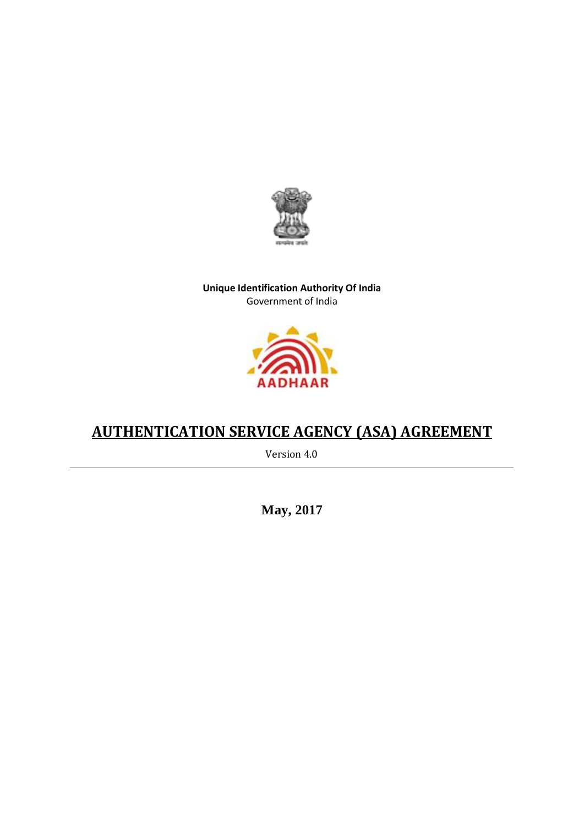

# **Unique Identification Authority Of India** Government of India



# **AUTHENTICATION SERVICE AGENCY (ASA) AGREEMENT**

Version 4.0

**May, 2017**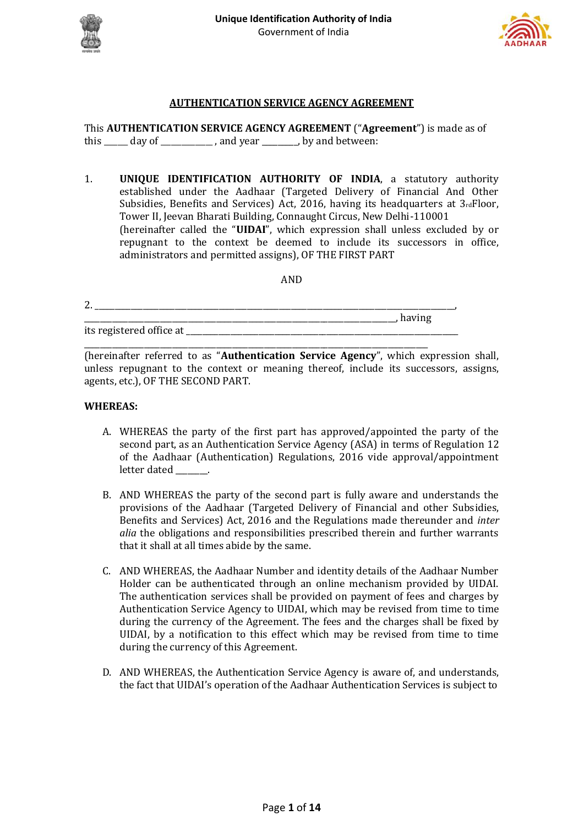



#### **AUTHENTICATION SERVICE AGENCY AGREEMENT**

This **AUTHENTICATION SERVICE AGENCY AGREEMENT** ("**Agreement**") is made as of this \_\_\_\_\_\_ day of \_\_\_\_\_\_\_\_\_\_\_\_\_\_, and year \_\_\_\_\_\_\_\_, by and between:

1. **UNIQUE IDENTIFICATION AUTHORITY OF INDIA**, a statutory authority established under the Aadhaar (Targeted Delivery of Financial And Other Subsidies, Benefits and Services) Act, 2016, having its headquarters at 3rdFloor, Tower II, Jeevan Bharati Building, Connaught Circus, New Delhi-110001 (hereinafter called the "**UIDAI**", which expression shall unless excluded by or repugnant to the context be deemed to include its successors in office, administrators and permitted assigns), OF THE FIRST PART

AND

| 2.                       |                |
|--------------------------|----------------|
|                          | $11a$ v $1115$ |
| its registered office at |                |

\_\_\_\_\_\_\_\_\_\_\_\_\_\_\_\_\_\_\_\_\_\_\_\_\_\_\_\_\_\_\_\_\_\_\_\_\_\_\_\_\_\_\_\_\_\_\_\_\_\_\_\_\_\_\_\_\_\_\_\_\_\_\_\_\_\_\_\_\_\_\_\_\_\_\_\_\_\_\_\_\_\_\_\_\_\_

(hereinafter referred to as "**Authentication Service Agency**", which expression shall, unless repugnant to the context or meaning thereof, include its successors, assigns, agents, etc.), OF THE SECOND PART.

#### **WHEREAS:**

- A. WHEREAS the party of the first part has approved/appointed the party of the second part, as an Authentication Service Agency (ASA) in terms of Regulation 12 of the Aadhaar (Authentication) Regulations, 2016 vide approval/appointment letter dated
- B. AND WHEREAS the party of the second part is fully aware and understands the provisions of the Aadhaar (Targeted Delivery of Financial and other Subsidies, Benefits and Services) Act, 2016 and the Regulations made thereunder and *inter alia* the obligations and responsibilities prescribed therein and further warrants that it shall at all times abide by the same.
- C. AND WHEREAS, the Aadhaar Number and identity details of the Aadhaar Number Holder can be authenticated through an online mechanism provided by UIDAI. The authentication services shall be provided on payment of fees and charges by Authentication Service Agency to UIDAI, which may be revised from time to time during the currency of the Agreement. The fees and the charges shall be fixed by UIDAI, by a notification to this effect which may be revised from time to time during the currency of this Agreement.
- D. AND WHEREAS, the Authentication Service Agency is aware of, and understands, the fact that UIDAI's operation of the Aadhaar Authentication Services is subject to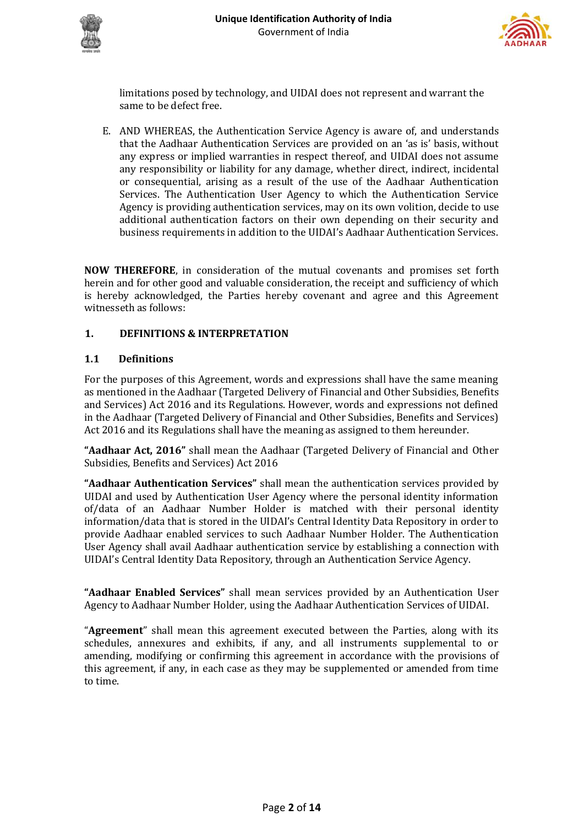



limitations posed by technology, and UIDAI does not represent and warrant the same to be defect free.

E. AND WHEREAS, the Authentication Service Agency is aware of, and understands that the Aadhaar Authentication Services are provided on an 'as is' basis, without any express or implied warranties in respect thereof, and UIDAI does not assume any responsibility or liability for any damage, whether direct, indirect, incidental or consequential, arising as a result of the use of the Aadhaar Authentication Services. The Authentication User Agency to which the Authentication Service Agency is providing authentication services, may on its own volition, decide to use additional authentication factors on their own depending on their security and business requirements in addition to the UIDAI's Aadhaar Authentication Services.

**NOW THEREFORE**, in consideration of the mutual covenants and promises set forth herein and for other good and valuable consideration, the receipt and sufficiency of which is hereby acknowledged, the Parties hereby covenant and agree and this Agreement witnesseth as follows:

# **1. DEFINITIONS & INTERPRETATION**

# **1.1 Definitions**

For the purposes of this Agreement, words and expressions shall have the same meaning as mentioned in the Aadhaar (Targeted Delivery of Financial and Other Subsidies, Benefits and Services) Act 2016 and its Regulations. However, words and expressions not defined in the Aadhaar (Targeted Delivery of Financial and Other Subsidies, Benefits and Services) Act 2016 and its Regulations shall have the meaning as assigned to them hereunder.

**"Aadhaar Act, 2016"** shall mean the Aadhaar (Targeted Delivery of Financial and Other Subsidies, Benefits and Services) Act 2016

**"Aadhaar Authentication Services"** shall mean the authentication services provided by UIDAI and used by Authentication User Agency where the personal identity information of/data of an Aadhaar Number Holder is matched with their personal identity information/data that is stored in the UIDAI's Central Identity Data Repository in order to provide Aadhaar enabled services to such Aadhaar Number Holder. The Authentication User Agency shall avail Aadhaar authentication service by establishing a connection with UIDAI's Central Identity Data Repository, through an Authentication Service Agency.

**"Aadhaar Enabled Services"** shall mean services provided by an Authentication User Agency to Aadhaar Number Holder, using the Aadhaar Authentication Services of UIDAI.

"**Agreement**" shall mean this agreement executed between the Parties, along with its schedules, annexures and exhibits, if any, and all instruments supplemental to or amending, modifying or confirming this agreement in accordance with the provisions of this agreement, if any, in each case as they may be supplemented or amended from time to time.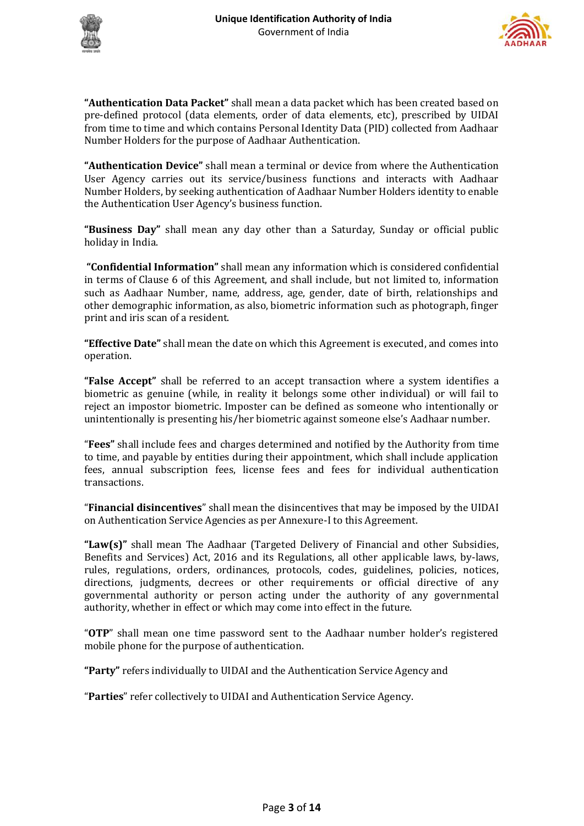



**"Authentication Data Packet"** shall mean a data packet which has been created based on pre-defined protocol (data elements, order of data elements, etc), prescribed by UIDAI from time to time and which contains Personal Identity Data (PID) collected from Aadhaar Number Holders for the purpose of Aadhaar Authentication.

**"Authentication Device"** shall mean a terminal or device from where the Authentication User Agency carries out its service/business functions and interacts with Aadhaar Number Holders, by seeking authentication of Aadhaar Number Holders identity to enable the Authentication User Agency's business function.

**"Business Day"** shall mean any day other than a Saturday, Sunday or official public holiday in India.

**"Confidential Information"** shall mean any information which is considered confidential in terms of Clause 6 of this Agreement, and shall include, but not limited to, information such as Aadhaar Number, name, address, age, gender, date of birth, relationships and other demographic information, as also, biometric information such as photograph, finger print and iris scan of a resident.

**"Effective Date"** shall mean the date on which this Agreement is executed, and comes into operation.

**"False Accept"** shall be referred to an accept transaction where a system identifies a biometric as genuine (while, in reality it belongs some other individual) or will fail to reject an impostor biometric. Imposter can be defined as someone who intentionally or unintentionally is presenting his/her biometric against someone else's Aadhaar number.

"**Fees"** shall include fees and charges determined and notified by the Authority from time to time, and payable by entities during their appointment, which shall include application fees, annual subscription fees, license fees and fees for individual authentication transactions.

"**Financial disincentives**" shall mean the disincentives that may be imposed by the UIDAI on Authentication Service Agencies as per Annexure-I to this Agreement.

**"Law(s)"** shall mean The Aadhaar (Targeted Delivery of Financial and other Subsidies, Benefits and Services) Act, 2016 and its Regulations, all other applicable laws, by-laws, rules, regulations, orders, ordinances, protocols, codes, guidelines, policies, notices, directions, judgments, decrees or other requirements or official directive of any governmental authority or person acting under the authority of any governmental authority, whether in effect or which may come into effect in the future.

"**OTP**" shall mean one time password sent to the Aadhaar number holder's registered mobile phone for the purpose of authentication.

**"Party"** refers individually to UIDAI and the Authentication Service Agency and

"**Parties**" refer collectively to UIDAI and Authentication Service Agency.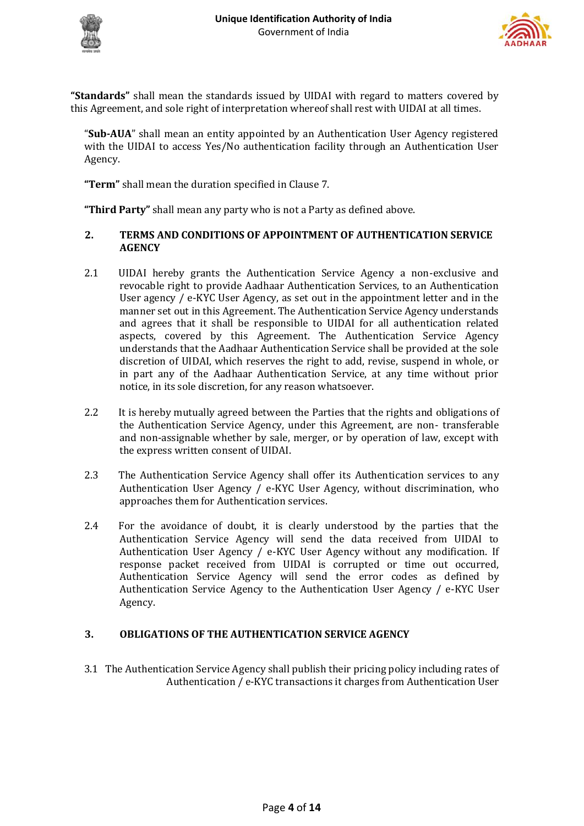



**"Standards"** shall mean the standards issued by UIDAI with regard to matters covered by this Agreement, and sole right of interpretation whereof shall rest with UIDAI at all times.

"**Sub-AUA**" shall mean an entity appointed by an Authentication User Agency registered with the UIDAI to access Yes/No authentication facility through an Authentication User Agency.

**"Term"** shall mean the duration specified in Clause 7.

**"Third Party"** shall mean any party who is not a Party as defined above.

## **2. TERMS AND CONDITIONS OF APPOINTMENT OF AUTHENTICATION SERVICE AGENCY**

- 2.1 UIDAI hereby grants the Authentication Service Agency a non-exclusive and revocable right to provide Aadhaar Authentication Services, to an Authentication User agency / e-KYC User Agency, as set out in the appointment letter and in the manner set out in this Agreement. The Authentication Service Agency understands and agrees that it shall be responsible to UIDAI for all authentication related aspects, covered by this Agreement. The Authentication Service Agency understands that the Aadhaar Authentication Service shall be provided at the sole discretion of UIDAI, which reserves the right to add, revise, suspend in whole, or in part any of the Aadhaar Authentication Service, at any time without prior notice, in its sole discretion, for any reason whatsoever.
- 2.2 It is hereby mutually agreed between the Parties that the rights and obligations of the Authentication Service Agency, under this Agreement, are non- transferable and non-assignable whether by sale, merger, or by operation of law, except with the express written consent of UIDAI.
- 2.3 The Authentication Service Agency shall offer its Authentication services to any Authentication User Agency / e-KYC User Agency, without discrimination, who approaches them for Authentication services.
- 2.4 For the avoidance of doubt, it is clearly understood by the parties that the Authentication Service Agency will send the data received from UIDAI to Authentication User Agency / e-KYC User Agency without any modification. If response packet received from UIDAI is corrupted or time out occurred, Authentication Service Agency will send the error codes as defined by Authentication Service Agency to the Authentication User Agency / e-KYC User Agency.

# **3. OBLIGATIONS OF THE AUTHENTICATION SERVICE AGENCY**

3.1 The Authentication Service Agency shall publish their pricing policy including rates of Authentication / e-KYC transactions it charges from Authentication User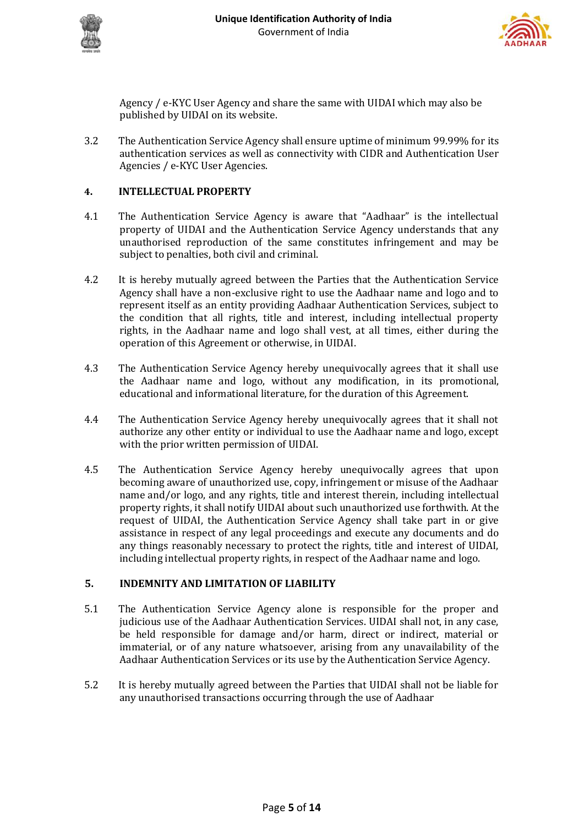



Agency / e-KYC User Agency and share the same with UIDAI which may also be published by UIDAI on its website.

3.2 The Authentication Service Agency shall ensure uptime of minimum 99.99% for its authentication services as well as connectivity with CIDR and Authentication User Agencies / e-KYC User Agencies.

## **4. INTELLECTUAL PROPERTY**

- 4.1 The Authentication Service Agency is aware that "Aadhaar" is the intellectual property of UIDAI and the Authentication Service Agency understands that any unauthorised reproduction of the same constitutes infringement and may be subject to penalties, both civil and criminal.
- 4.2 It is hereby mutually agreed between the Parties that the Authentication Service Agency shall have a non-exclusive right to use the Aadhaar name and logo and to represent itself as an entity providing Aadhaar Authentication Services, subject to the condition that all rights, title and interest, including intellectual property rights, in the Aadhaar name and logo shall vest, at all times, either during the operation of this Agreement or otherwise, in UIDAI.
- 4.3 The Authentication Service Agency hereby unequivocally agrees that it shall use the Aadhaar name and logo, without any modification, in its promotional, educational and informational literature, for the duration of this Agreement.
- 4.4 The Authentication Service Agency hereby unequivocally agrees that it shall not authorize any other entity or individual to use the Aadhaar name and logo, except with the prior written permission of UIDAI.
- 4.5 The Authentication Service Agency hereby unequivocally agrees that upon becoming aware of unauthorized use, copy, infringement or misuse of the Aadhaar name and/or logo, and any rights, title and interest therein, including intellectual property rights, it shall notify UIDAI about such unauthorized use forthwith. At the request of UIDAI, the Authentication Service Agency shall take part in or give assistance in respect of any legal proceedings and execute any documents and do any things reasonably necessary to protect the rights, title and interest of UIDAI, including intellectual property rights, in respect of the Aadhaar name and logo.

# **5. INDEMNITY AND LIMITATION OF LIABILITY**

- 5.1 The Authentication Service Agency alone is responsible for the proper and judicious use of the Aadhaar Authentication Services. UIDAI shall not, in any case, be held responsible for damage and/or harm, direct or indirect, material or immaterial, or of any nature whatsoever, arising from any unavailability of the Aadhaar Authentication Services or its use by the Authentication Service Agency.
- 5.2 It is hereby mutually agreed between the Parties that UIDAI shall not be liable for any unauthorised transactions occurring through the use of Aadhaar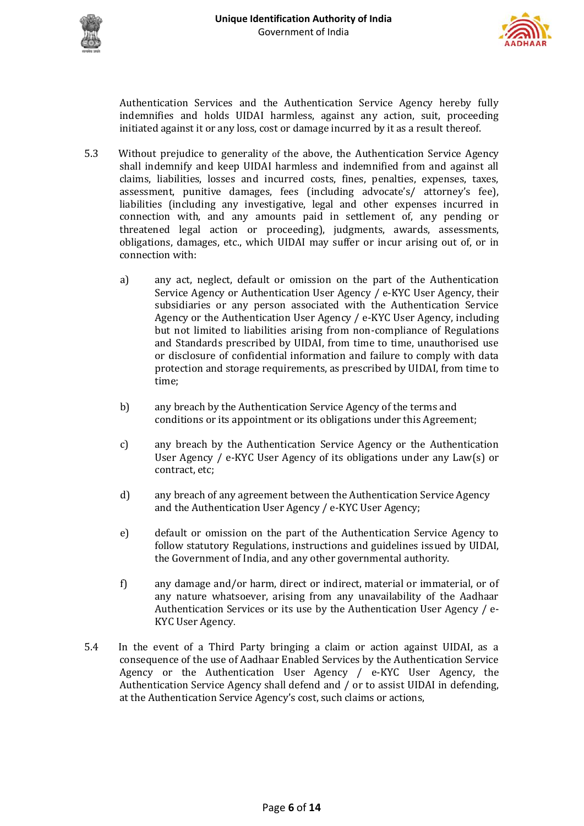



Authentication Services and the Authentication Service Agency hereby fully indemnifies and holds UIDAI harmless, against any action, suit, proceeding initiated against it or any loss, cost or damage incurred by it as a result thereof.

- 5.3 Without prejudice to generality of the above, the Authentication Service Agency shall indemnify and keep UIDAI harmless and indemnified from and against all claims, liabilities, losses and incurred costs, fines, penalties, expenses, taxes, assessment, punitive damages, fees (including advocate's/ attorney's fee), liabilities (including any investigative, legal and other expenses incurred in connection with, and any amounts paid in settlement of, any pending or threatened legal action or proceeding), judgments, awards, assessments, obligations, damages, etc., which UIDAI may suffer or incur arising out of, or in connection with:
	- a) any act, neglect, default or omission on the part of the Authentication Service Agency or Authentication User Agency / e-KYC User Agency, their subsidiaries or any person associated with the Authentication Service Agency or the Authentication User Agency / e-KYC User Agency, including but not limited to liabilities arising from non-compliance of Regulations and Standards prescribed by UIDAI, from time to time, unauthorised use or disclosure of confidential information and failure to comply with data protection and storage requirements, as prescribed by UIDAI, from time to time;
	- b) any breach by the Authentication Service Agency of the terms and conditions or its appointment or its obligations under this Agreement;
	- c) any breach by the Authentication Service Agency or the Authentication User Agency / e-KYC User Agency of its obligations under any Law(s) or contract, etc;
	- d) any breach of any agreement between the Authentication Service Agency and the Authentication User Agency / e-KYC User Agency;
	- e) default or omission on the part of the Authentication Service Agency to follow statutory Regulations, instructions and guidelines issued by UIDAI, the Government of India, and any other governmental authority.
	- f) any damage and/or harm, direct or indirect, material or immaterial, or of any nature whatsoever, arising from any unavailability of the Aadhaar Authentication Services or its use by the Authentication User Agency / e-KYC User Agency.
- 5.4 In the event of a Third Party bringing a claim or action against UIDAI, as a consequence of the use of Aadhaar Enabled Services by the Authentication Service Agency or the Authentication User Agency / e-KYC User Agency, the Authentication Service Agency shall defend and / or to assist UIDAI in defending, at the Authentication Service Agency's cost, such claims or actions,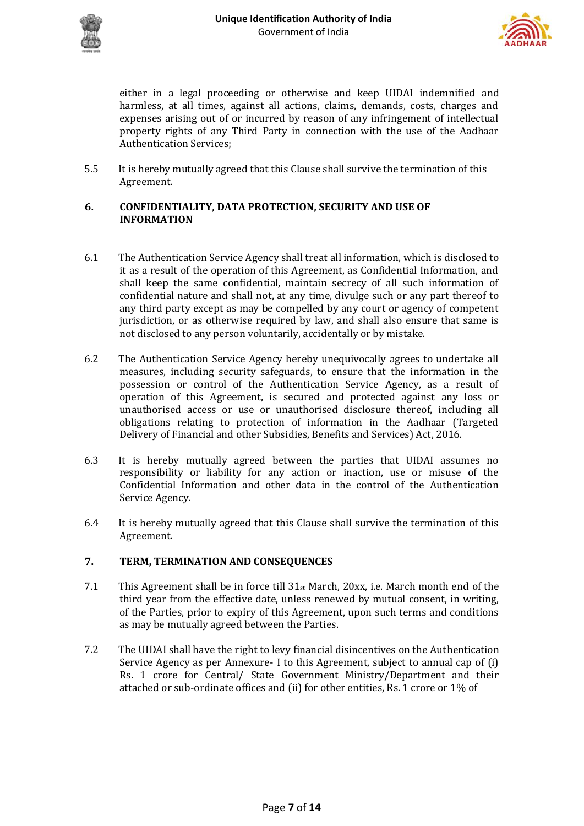



either in a legal proceeding or otherwise and keep UIDAI indemnified and harmless, at all times, against all actions, claims, demands, costs, charges and expenses arising out of or incurred by reason of any infringement of intellectual property rights of any Third Party in connection with the use of the Aadhaar Authentication Services;

5.5 It is hereby mutually agreed that this Clause shall survive the termination of this Agreement.

#### **6. CONFIDENTIALITY, DATA PROTECTION, SECURITY AND USE OF INFORMATION**

- 6.1 The Authentication Service Agency shall treat all information, which is disclosed to it as a result of the operation of this Agreement, as Confidential Information, and shall keep the same confidential, maintain secrecy of all such information of confidential nature and shall not, at any time, divulge such or any part thereof to any third party except as may be compelled by any court or agency of competent jurisdiction, or as otherwise required by law, and shall also ensure that same is not disclosed to any person voluntarily, accidentally or by mistake.
- 6.2 The Authentication Service Agency hereby unequivocally agrees to undertake all measures, including security safeguards, to ensure that the information in the possession or control of the Authentication Service Agency, as a result of operation of this Agreement, is secured and protected against any loss or unauthorised access or use or unauthorised disclosure thereof, including all obligations relating to protection of information in the Aadhaar (Targeted Delivery of Financial and other Subsidies, Benefits and Services) Act, 2016.
- 6.3 It is hereby mutually agreed between the parties that UIDAI assumes no responsibility or liability for any action or inaction, use or misuse of the Confidential Information and other data in the control of the Authentication Service Agency.
- 6.4 It is hereby mutually agreed that this Clause shall survive the termination of this Agreement.

# **7. TERM, TERMINATION AND CONSEQUENCES**

- 7.1 This Agreement shall be in force till  $31<sub>st</sub>$  March, 20xx, i.e. March month end of the third year from the effective date, unless renewed by mutual consent, in writing, of the Parties, prior to expiry of this Agreement, upon such terms and conditions as may be mutually agreed between the Parties.
- 7.2 The UIDAI shall have the right to levy financial disincentives on the Authentication Service Agency as per Annexure- I to this Agreement, subject to annual cap of (i) Rs. 1 crore for Central/ State Government Ministry/Department and their attached or sub-ordinate offices and (ii) for other entities, Rs. 1 crore or 1% of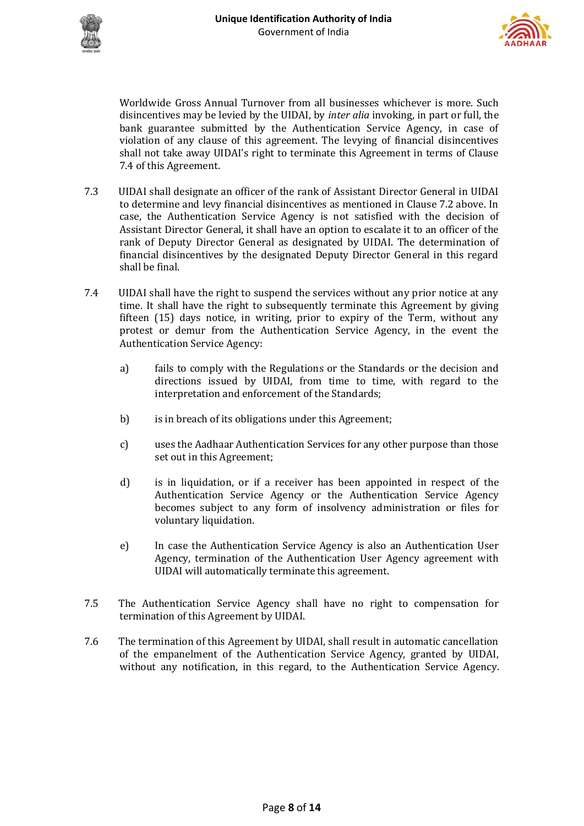



Worldwide Gross Annual Turnover from all businesses whichever is more. Such disincentives may be levied by the UIDAI, by *inter alia* invoking, in part or full, the bank guarantee submitted by the Authentication Service Agency, in case of violation of any clause of this agreement. The levying of financial disincentives shall not take away UIDAI's right to terminate this Agreement in terms of Clause 7.4 of this Agreement.

- 7.3 UIDAI shall designate an officer of the rank of Assistant Director General in UIDAI to determine and levy financial disincentives as mentioned in Clause 7.2 above. In case, the Authentication Service Agency is not satisfied with the decision of Assistant Director General, it shall have an option to escalate it to an officer of the rank of Deputy Director General as designated by UIDAI. The determination of financial disincentives by the designated Deputy Director General in this regard shall be final.
- 7.4 UIDAI shall have the right to suspend the services without any prior notice at any time. It shall have the right to subsequently terminate this Agreement by giving fifteen (15) days notice, in writing, prior to expiry of the Term, without any protest or demur from the Authentication Service Agency, in the event the Authentication Service Agency:
	- a) fails to comply with the Regulations or the Standards or the decision and directions issued by UIDAI, from time to time, with regard to the interpretation and enforcement of the Standards;
	- b) is in breach of its obligations under this Agreement;
	- c) uses the Aadhaar Authentication Services for any other purpose than those set out in this Agreement;
	- d) is in liquidation, or if a receiver has been appointed in respect of the Authentication Service Agency or the Authentication Service Agency becomes subject to any form of insolvency administration or files for voluntary liquidation.
	- e) In case the Authentication Service Agency is also an Authentication User Agency, termination of the Authentication User Agency agreement with UIDAI will automatically terminate this agreement.
- 7.5 The Authentication Service Agency shall have no right to compensation for termination of this Agreement by UIDAI.
- 7.6 The termination of this Agreement by UIDAI, shall result in automatic cancellation of the empanelment of the Authentication Service Agency, granted by UIDAI, without any notification, in this regard, to the Authentication Service Agency.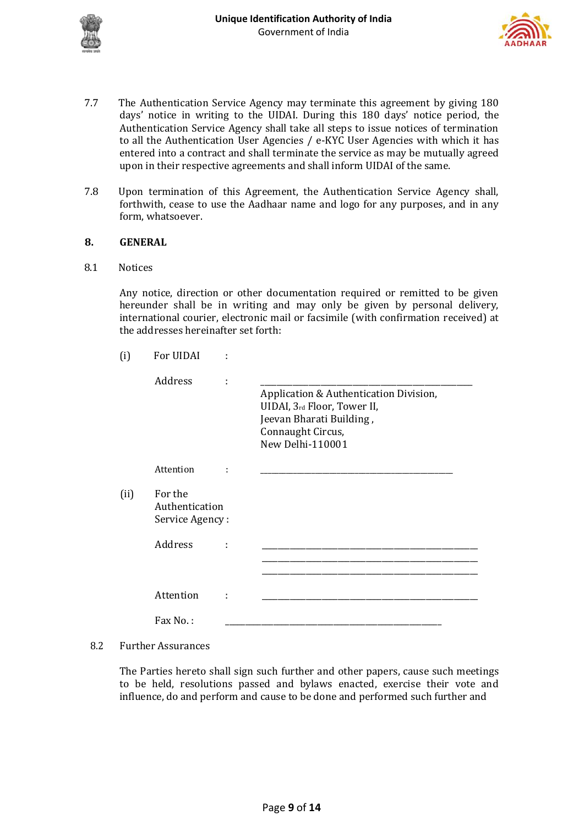



- 7.7 The Authentication Service Agency may terminate this agreement by giving 180 days' notice in writing to the UIDAI. During this 180 days' notice period, the Authentication Service Agency shall take all steps to issue notices of termination to all the Authentication User Agencies / e-KYC User Agencies with which it has entered into a contract and shall terminate the service as may be mutually agreed upon in their respective agreements and shall inform UIDAI of the same.
- 7.8 Upon termination of this Agreement, the Authentication Service Agency shall, forthwith, cease to use the Aadhaar name and logo for any purposes, and in any form, whatsoever.

#### **8. GENERAL**

8.1 Notices

Any notice, direction or other documentation required or remitted to be given hereunder shall be in writing and may only be given by personal delivery, international courier, electronic mail or facsimile (with confirmation received) at the addresses hereinafter set forth:

| (i)  | For UIDAI                                    |   |                                                                                                                                            |
|------|----------------------------------------------|---|--------------------------------------------------------------------------------------------------------------------------------------------|
|      | Address                                      | İ | Application & Authentication Division,<br>UIDAI, 3rd Floor, Tower II,<br>Jeevan Bharati Building,<br>Connaught Circus,<br>New Delhi-110001 |
|      | Attention                                    |   |                                                                                                                                            |
| (ii) | For the<br>Authentication<br>Service Agency: |   |                                                                                                                                            |
|      | Address                                      |   |                                                                                                                                            |
|      |                                              |   |                                                                                                                                            |
|      | Attention                                    | t |                                                                                                                                            |
|      | Fax No.:                                     |   |                                                                                                                                            |

#### 8.2 Further Assurances

The Parties hereto shall sign such further and other papers, cause such meetings to be held, resolutions passed and bylaws enacted, exercise their vote and influence, do and perform and cause to be done and performed such further and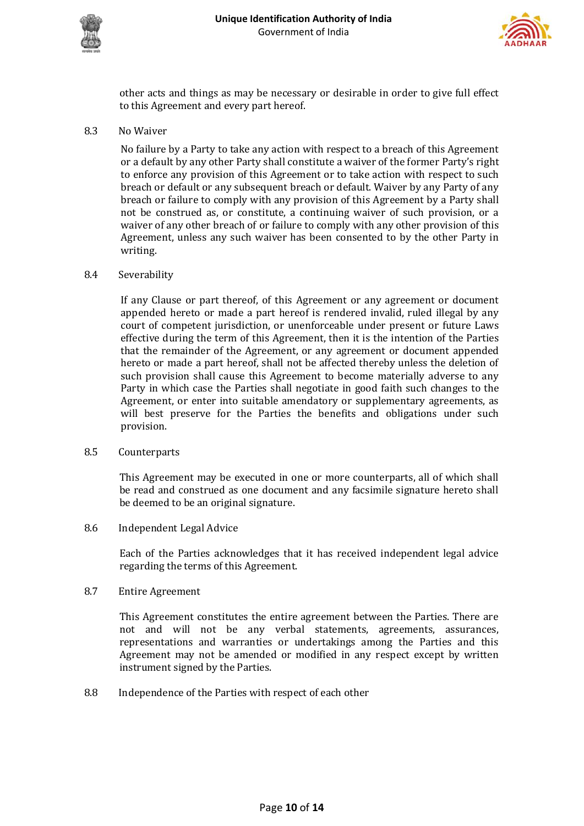



other acts and things as may be necessary or desirable in order to give full effect to this Agreement and every part hereof.

8.3 No Waiver

No failure by a Party to take any action with respect to a breach of this Agreement or a default by any other Party shall constitute a waiver of the former Party's right to enforce any provision of this Agreement or to take action with respect to such breach or default or any subsequent breach or default. Waiver by any Party of any breach or failure to comply with any provision of this Agreement by a Party shall not be construed as, or constitute, a continuing waiver of such provision, or a waiver of any other breach of or failure to comply with any other provision of this Agreement, unless any such waiver has been consented to by the other Party in writing.

#### 8.4 Severability

If any Clause or part thereof, of this Agreement or any agreement or document appended hereto or made a part hereof is rendered invalid, ruled illegal by any court of competent jurisdiction, or unenforceable under present or future Laws effective during the term of this Agreement, then it is the intention of the Parties that the remainder of the Agreement, or any agreement or document appended hereto or made a part hereof, shall not be affected thereby unless the deletion of such provision shall cause this Agreement to become materially adverse to any Party in which case the Parties shall negotiate in good faith such changes to the Agreement, or enter into suitable amendatory or supplementary agreements, as will best preserve for the Parties the benefits and obligations under such provision.

#### 8.5 Counterparts

This Agreement may be executed in one or more counterparts, all of which shall be read and construed as one document and any facsimile signature hereto shall be deemed to be an original signature.

8.6 Independent Legal Advice

Each of the Parties acknowledges that it has received independent legal advice regarding the terms of this Agreement.

8.7 Entire Agreement

This Agreement constitutes the entire agreement between the Parties. There are not and will not be any verbal statements, agreements, assurances, representations and warranties or undertakings among the Parties and this Agreement may not be amended or modified in any respect except by written instrument signed by the Parties.

8.8 Independence of the Parties with respect of each other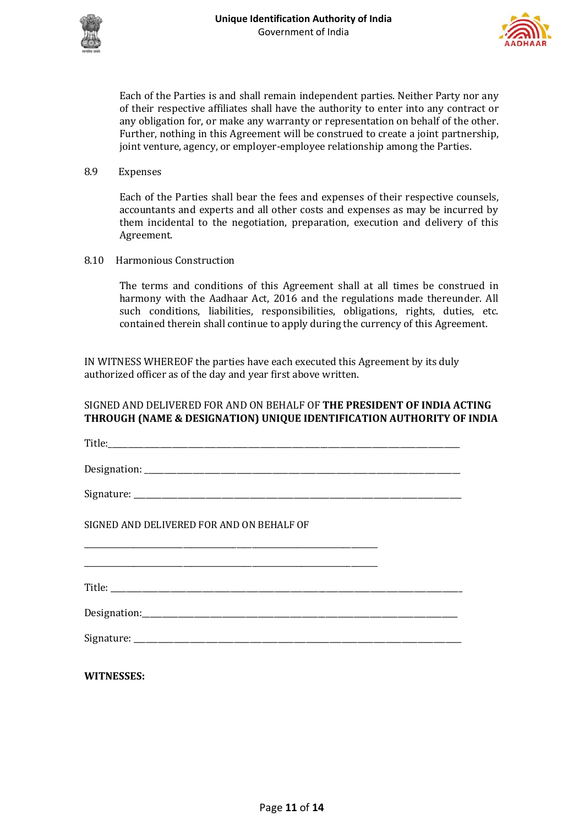



Each of the Parties is and shall remain independent parties. Neither Party nor any of their respective affiliates shall have the authority to enter into any contract or any obligation for, or make any warranty or representation on behalf of the other. Further, nothing in this Agreement will be construed to create a joint partnership, joint venture, agency, or employer-employee relationship among the Parties.

8.9 Expenses

Each of the Parties shall bear the fees and expenses of their respective counsels, accountants and experts and all other costs and expenses as may be incurred by them incidental to the negotiation, preparation, execution and delivery of this Agreement.

8.10 Harmonious Construction

The terms and conditions of this Agreement shall at all times be construed in harmony with the Aadhaar Act, 2016 and the regulations made thereunder. All such conditions, liabilities, responsibilities, obligations, rights, duties, etc. contained therein shall continue to apply during the currency of this Agreement.

IN WITNESS WHEREOF the parties have each executed this Agreement by its duly authorized officer as of the day and year first above written.

# SIGNED AND DELIVERED FOR AND ON BEHALF OF **THE PRESIDENT OF INDIA ACTING THROUGH (NAME & DESIGNATION) UNIQUE IDENTIFICATION AUTHORITY OF INDIA**

| SIGNED AND DELIVERED FOR AND ON BEHALF OF |  |
|-------------------------------------------|--|
|                                           |  |
|                                           |  |
|                                           |  |
|                                           |  |
| <b>WITNESSES:</b>                         |  |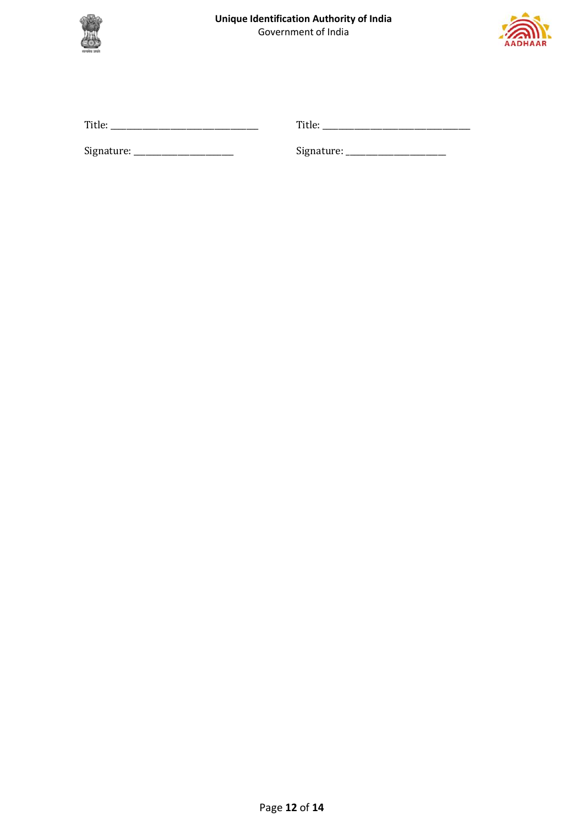



| Title:     | Title:     |
|------------|------------|
| Signature: | Signature: |